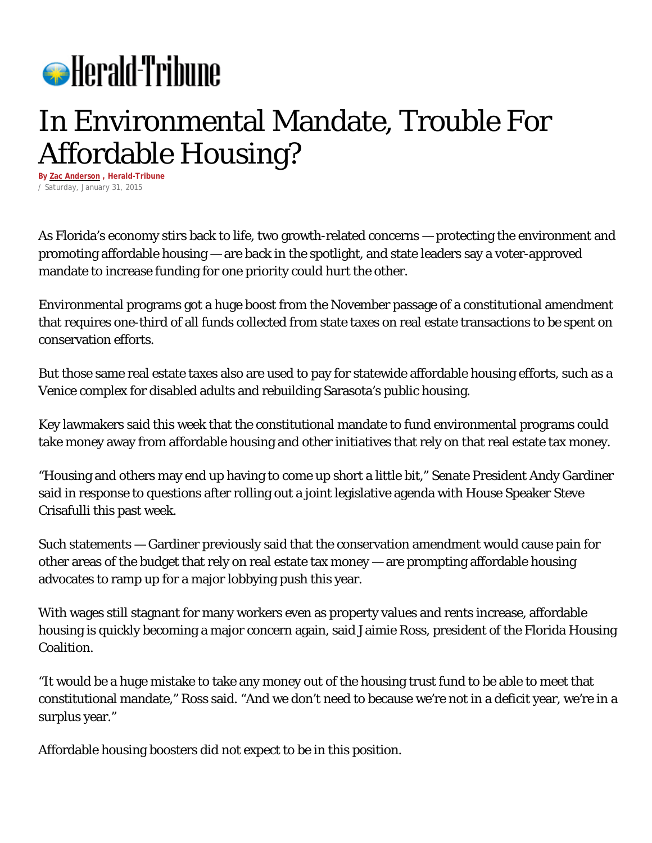

## In Environmental Mandate, Trouble For Affordable Housing?

**By Zac [Anderson](http://politics.heraldtribune.com/author/zac-anderson/) , Herald-Tribune** / Saturday, January 31, 2015

As Florida's economy stirs back to life, two growth-related concerns — protecting the environment and promoting affordable housing — are back in the spotlight, and state leaders say a voter-approved mandate to increase funding for one priority could hurt the other.

Environmental programs got a huge boost from the November passage of a constitutional amendment that requires one-third of all funds collected from state taxes on real estate transactions to be spent on conservation efforts.

But those same real estate taxes also are used to pay for statewide affordable housing efforts, such as a Venice complex for disabled adults and rebuilding Sarasota's public housing.

Key lawmakers said this week that the constitutional mandate to fund environmental programs could take money away from affordable housing and other initiatives that rely on that real estate tax money.

"Housing and others may end up having to come up short a little bit," Senate President Andy Gardiner said in response to questions after rolling out a joint legislative agenda with House Speaker Steve Crisafulli this past week.

Such statements — Gardiner previously said that the conservation amendment would cause pain for other areas of the budget that rely on real estate tax money — are prompting affordable housing advocates to ramp up for a major lobbying push this year.

With wages still stagnant for many workers even as property values and rents increase, affordable housing is quickly becoming a major concern again, said Jaimie Ross, president of the Florida Housing Coalition.

"It would be a huge mistake to take any money out of the housing trust fund to be able to meet that constitutional mandate," Ross said. "And we don't need to because we're not in a deficit year, we're in a surplus year."

Affordable housing boosters did not expect to be in this position.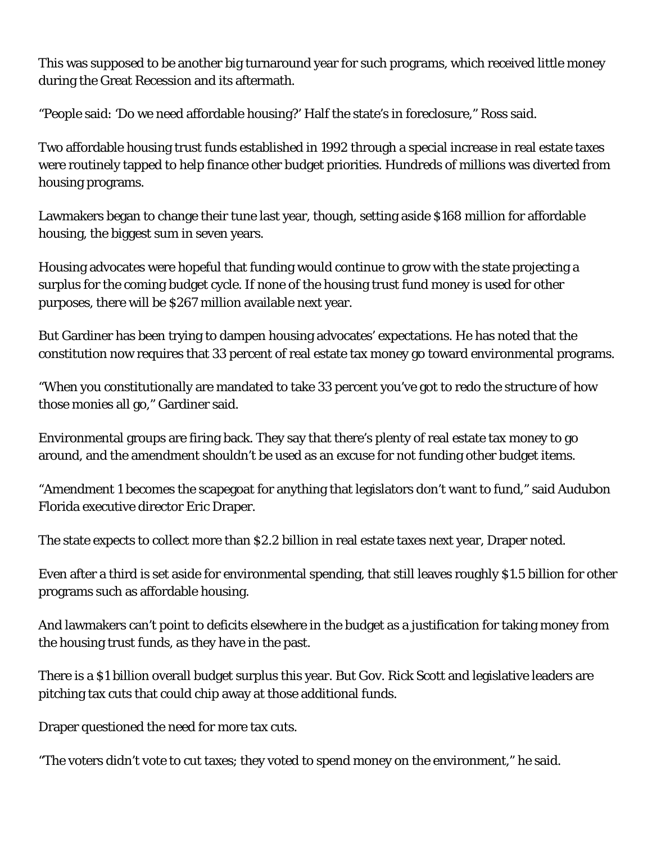This was supposed to be another big turnaround year for such programs, which received little money during the Great Recession and its aftermath.

"People said: 'Do we need affordable housing?' Half the state's in foreclosure," Ross said.

Two affordable housing trust funds established in 1992 through a special increase in real estate taxes were routinely tapped to help finance other budget priorities. Hundreds of millions was diverted from housing programs.

Lawmakers began to change their tune last year, though, setting aside \$168 million for affordable housing, the biggest sum in seven years.

Housing advocates were hopeful that funding would continue to grow with the state projecting a surplus for the coming budget cycle. If none of the housing trust fund money is used for other purposes, there will be \$267 million available next year.

But Gardiner has been trying to dampen housing advocates' expectations. He has noted that the constitution now requires that 33 percent of real estate tax money go toward environmental programs.

"When you constitutionally are mandated to take 33 percent you've got to redo the structure of how those monies all go," Gardiner said.

Environmental groups are firing back. They say that there's plenty of real estate tax money to go around, and the amendment shouldn't be used as an excuse for not funding other budget items.

"Amendment 1 becomes the scapegoat for anything that legislators don't want to fund," said Audubon Florida executive director Eric Draper.

The state expects to collect more than \$2.2 billion in real estate taxes next year, Draper noted.

Even after a third is set aside for environmental spending, that still leaves roughly \$1.5 billion for other programs such as affordable housing.

And lawmakers can't point to deficits elsewhere in the budget as a justification for taking money from the housing trust funds, as they have in the past.

There is a \$1 billion overall budget surplus this year. But Gov. Rick Scott and legislative leaders are pitching tax cuts that could chip away at those additional funds.

Draper questioned the need for more tax cuts.

"The voters didn't vote to cut taxes; they voted to spend money on the environment," he said.